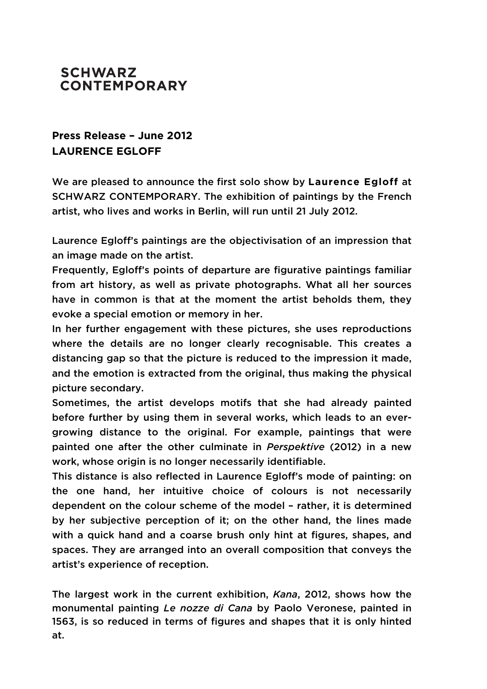## **SCHWARZ CONTEMPORARY**

## **Press Release – June 2012 LAURENCE EGLOFF**

We are pleased to announce the first solo show by **Laurence Egloff** at SCHWARZ CONTEMPORARY. The exhibition of paintings by the French artist, who lives and works in Berlin, will run until 21 July 2012.

Laurence Egloff's paintings are the objectivisation of an impression that an image made on the artist.

Frequently, Egloff's points of departure are figurative paintings familiar from art history, as well as private photographs. What all her sources have in common is that at the moment the artist beholds them, they evoke a special emotion or memory in her.

In her further engagement with these pictures, she uses reproductions where the details are no longer clearly recognisable. This creates a distancing gap so that the picture is reduced to the impression it made, and the emotion is extracted from the original, thus making the physical picture secondary.

Sometimes, the artist develops motifs that she had already painted before further by using them in several works, which leads to an evergrowing distance to the original. For example, paintings that were painted one after the other culminate in *Perspektive* (2012) in a new work, whose origin is no longer necessarily identifiable.

This distance is also reflected in Laurence Egloff's mode of painting: on the one hand, her intuitive choice of colours is not necessarily dependent on the colour scheme of the model – rather, it is determined by her subjective perception of it; on the other hand, the lines made with a quick hand and a coarse brush only hint at figures, shapes, and spaces. They are arranged into an overall composition that conveys the artist's experience of reception.

The largest work in the current exhibition, *Kana*, 2012, shows how the monumental painting *Le nozze di Cana* by Paolo Veronese, painted in 1563, is so reduced in terms of figures and shapes that it is only hinted at.